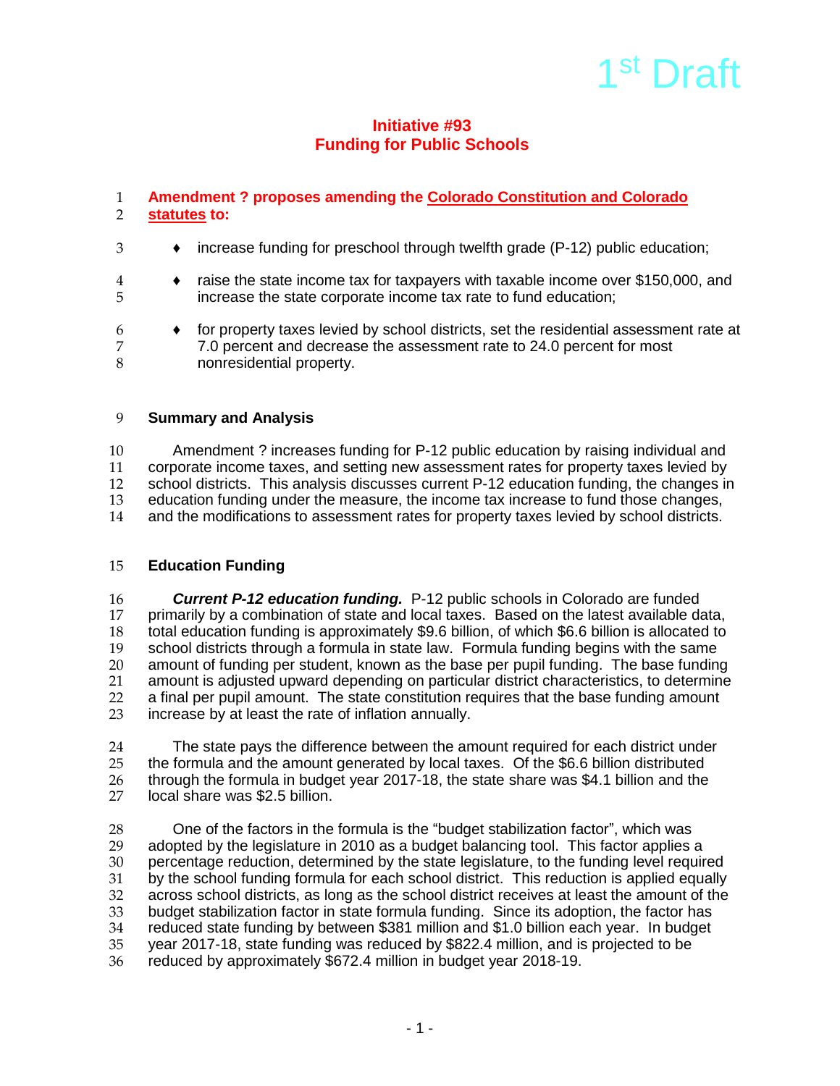# 1<sup>st</sup> Draft

## **Initiative #93 Funding for Public Schools**

## 1 **Amendment ? proposes amending the Colorado Constitution and Colorado**  2 **statutes to:**

- 3 ♦ increase funding for preschool through twelfth grade (P-12) public education;
- 4 ♦ raise the state income tax for taxpayers with taxable income over \$150,000, and 5 increase the state corporate income tax rate to fund education;
- $6 \rightarrow$  for property taxes levied by school districts, set the residential assessment rate at  $7 \rightarrow 7.0$  percent and decrease the assessment rate to 24.0 percent for most 7 7 7.0 percent and decrease the assessment rate to 24.0 percent for most 3 nonresidential property.

### 9 **Summary and Analysis**

10 Amendment ? increases funding for P-12 public education by raising individual and<br>11 corporate income taxes, and setting new assessment rates for property taxes levied by 11 corporate income taxes, and setting new assessment rates for property taxes levied by<br>12 school districts. This analysis discusses current P-12 education funding, the changes in 12 school districts. This analysis discusses current P-12 education funding, the changes in<br>13 education funding under the measure, the income tax increase to fund those changes. 13 education funding under the measure, the income tax increase to fund those changes,<br>14 and the modifications to assessment rates for property taxes levied by school districts. and the modifications to assessment rates for property taxes levied by school districts.

#### 15 **Education Funding**

16 **Current P-12 education funding.** P-12 public schools in Colorado are funded<br>17 **Dimention of state and local taxes.** Based on the latest available da 17 primarily by a combination of state and local taxes. Based on the latest available data,<br>18 total education funding is approximately \$9.6 billion, of which \$6.6 billion is allocated to 18 total education funding is approximately \$9.6 billion, of which \$6.6 billion is allocated to<br>19 school districts through a formula in state law. Formula funding begins with the same 19 school districts through a formula in state law. Formula funding begins with the same<br>20 amount of funding per student, known as the base per pupil funding. The base funding 20 amount of funding per student, known as the base per pupil funding. The base funding<br>21 amount is adiusted upward depending on particular district characteristics, to determine 21 amount is adjusted upward depending on particular district characteristics, to determine<br>22 a final per pupil amount. The state constitution requires that the base funding amount 22 a final per pupil amount. The state constitution requires that the base funding amount 23 increase by at least the rate of inflation annually. increase by at least the rate of inflation annually.

24 The state pays the difference between the amount required for each district under<br>25 the formula and the amount generated by local taxes. Of the \$6.6 billion distributed 25 the formula and the amount generated by local taxes. Of the \$6.6 billion distributed<br>26 through the formula in budget year 2017-18, the state share was \$4.1 billion and the 26 through the formula in budget year 2017-18, the state share was \$4.1 billion and the 27 local share was \$2.5 billion local share was \$2.5 billion.

28 One of the factors in the formula is the "budget stabilization factor", which was<br>29 adopted by the legislature in 2010 as a budget balancing tool. This factor applies 29 adopted by the legislature in 2010 as a budget balancing tool. This factor applies a<br>30 percentage reduction, determined by the state legislature, to the funding level requir 30 percentage reduction, determined by the state legislature, to the funding level required<br>31 by the school funding formula for each school district. This reduction is applied equally 31 by the school funding formula for each school district. This reduction is applied equally<br>32 across school districts, as long as the school district receives at least the amount of the 32 across school districts, as long as the school district receives at least the amount of the<br>33 budget stabilization factor in state formula funding. Since its adoption, the factor has 33 budget stabilization factor in state formula funding. Since its adoption, the factor has<br>34 reduced state funding by between \$381 million and \$1.0 billion each vear. In budget 34 reduced state funding by between \$381 million and \$1.0 billion each year. In budget 35 year 2017-18, state funding was reduced by \$822.4 million, and is projected to be reduced by approximately \$672.4 million in budget year 2018-19.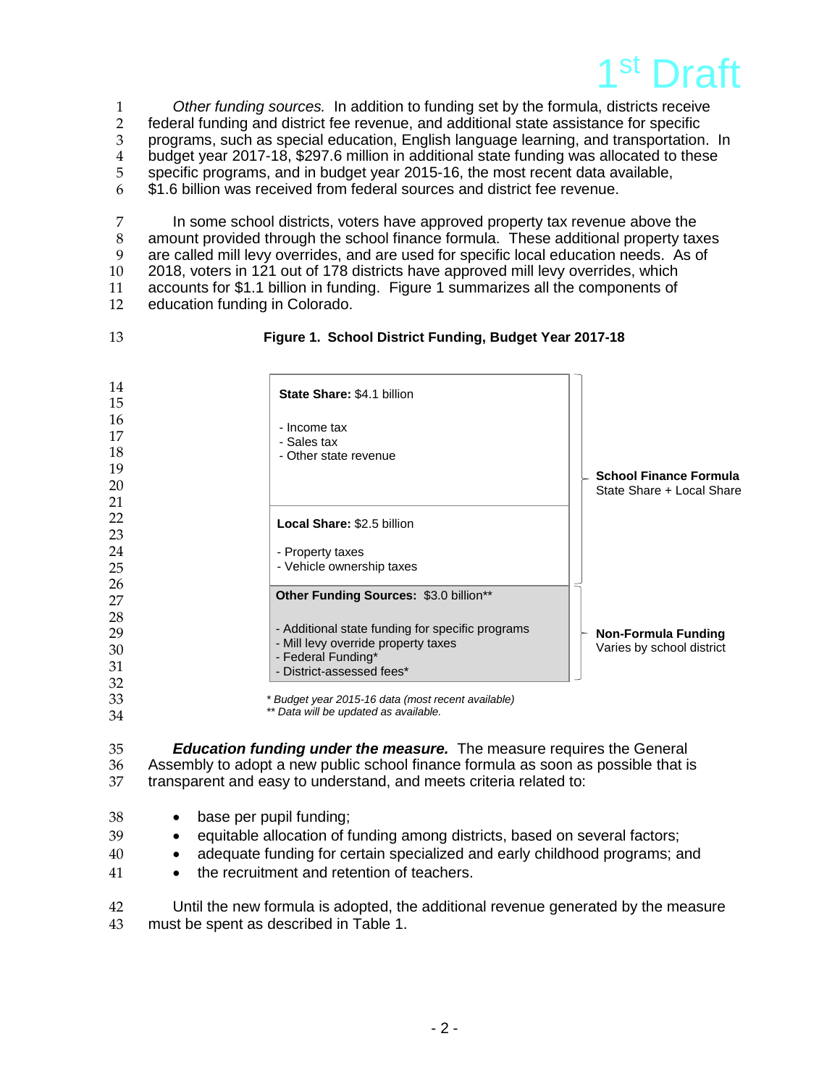

 *Other funding sources.* In addition to funding set by the formula, districts receive federal funding and district fee revenue, and additional state assistance for specific programs, such as special education, English language learning, and transportation. In 4 budget year 2017-18, \$297.6 million in additional state funding was allocated to these<br>5 specific programs, and in budget year 2015-16, the most recent data available, specific programs, and in budget year 2015-16, the most recent data available, \$1.6 billion was received from federal sources and district fee revenue.

 In some school districts, voters have approved property tax revenue above the amount provided through the school finance formula. These additional property taxes are called mill levy overrides, and are used for specific local education needs. As of 2018, voters in 121 out of 178 districts have approved mill levy overrides, which accounts for \$1.1 billion in funding. Figure 1 summarizes all the components of education funding in Colorado.

#### **Figure 1. School District Funding, Budget Year 2017-18**

| 14<br>15 | State Share: \$4.1 billion                         |                                                         |
|----------|----------------------------------------------------|---------------------------------------------------------|
| 16       | - Income tax                                       |                                                         |
| 17       | - Sales tax                                        |                                                         |
| 18       | - Other state revenue                              |                                                         |
| 19       |                                                    | <b>School Finance Formula</b>                           |
| 20       |                                                    | State Share + Local Share                               |
| 21       |                                                    |                                                         |
| 22       | Local Share: \$2.5 billion                         |                                                         |
| 23       |                                                    |                                                         |
| 24       | - Property taxes                                   |                                                         |
| 25       | - Vehicle ownership taxes                          |                                                         |
| 26       | Other Funding Sources: \$3.0 billion**             |                                                         |
| 27       |                                                    |                                                         |
| 28       | - Additional state funding for specific programs   |                                                         |
| 29<br>30 | - Mill levy override property taxes                | <b>Non-Formula Funding</b><br>Varies by school district |
| 31       | - Federal Funding*                                 |                                                         |
| 32       | - District-assessed fees*                          |                                                         |
| 33       | * Budget year 2015-16 data (most recent available) |                                                         |
| 34       | ** Data will be updated as available.              |                                                         |

 *Education funding under the measure.*The measure requires the General 36 Assembly to adopt a new public school finance formula as soon as possible that is than space that is 37 transparent and easy to understand, and meets criteria related to: transparent and easy to understand, and meets criteria related to:

- base per pupil funding;
- 39 equitable allocation of funding among districts, based on several factors;
- adequate funding for certain specialized and early childhood programs; and
- **•** the recruitment and retention of teachers.

 Until the new formula is adopted, the additional revenue generated by the measure must be spent as described in Table 1.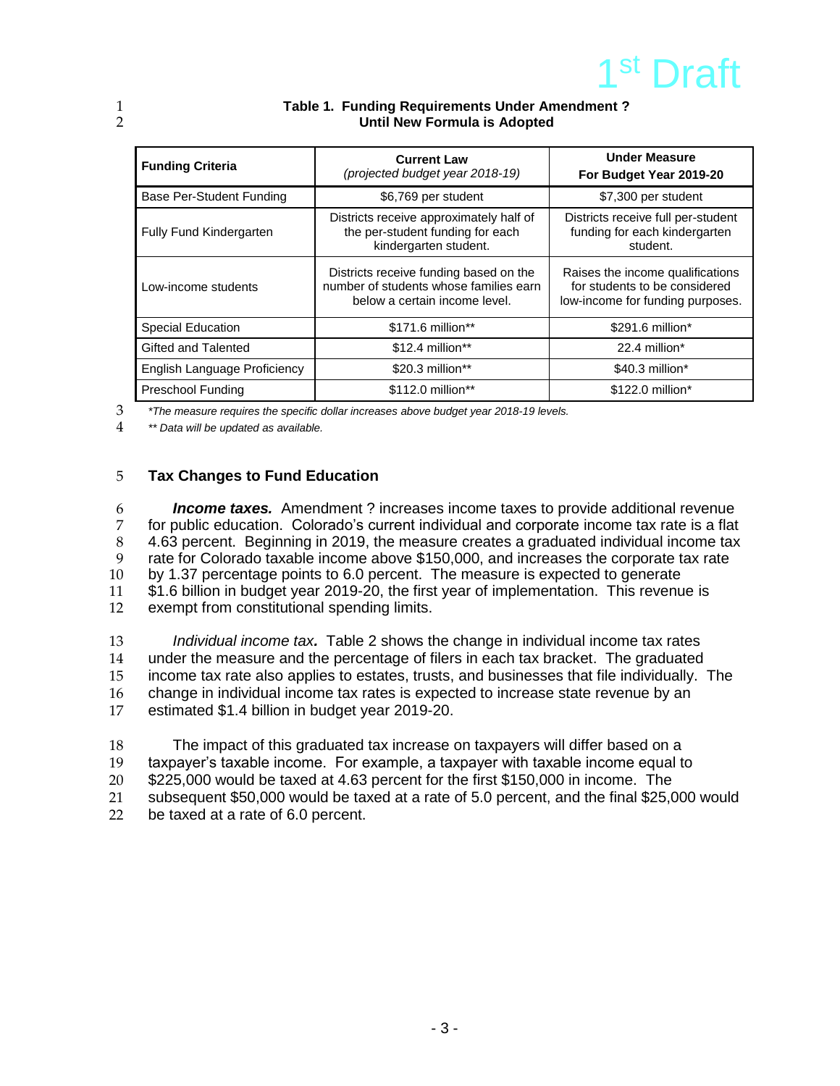

| <b>Funding Criteria</b>      | <b>Current Law</b><br>(projected budget year 2018-19)                                                             | <b>Under Measure</b><br>For Budget Year 2019-20                                                       |
|------------------------------|-------------------------------------------------------------------------------------------------------------------|-------------------------------------------------------------------------------------------------------|
| Base Per-Student Funding     | \$6,769 per student                                                                                               | \$7,300 per student                                                                                   |
| Fully Fund Kindergarten      | Districts receive approximately half of<br>the per-student funding for each<br>kindergarten student.              | Districts receive full per-student<br>funding for each kindergarten<br>student.                       |
| Low-income students          | Districts receive funding based on the<br>number of students whose families earn<br>below a certain income level. | Raises the income qualifications<br>for students to be considered<br>low-income for funding purposes. |
| <b>Special Education</b>     | \$171.6 million**                                                                                                 | \$291.6 million*                                                                                      |
| Gifted and Talented          | $$12.4$ million**                                                                                                 | 22.4 million*                                                                                         |
| English Language Proficiency | \$20.3 million**                                                                                                  | $$40.3$ million*                                                                                      |
| <b>Preschool Funding</b>     | \$112.0 million**                                                                                                 | \$122.0 million*                                                                                      |

#### 1 **Table 1. Funding Requirements Under Amendment ?** 2 **Until New Formula is Adopted**

3 *\*The measure requires the specific dollar increases above budget year 2018-19 levels.*

4 *\*\* Data will be updated as available.*

#### 5 **Tax Changes to Fund Education**

 *Income taxes.* Amendment ? increases income taxes to provide additional revenue for public education. Colorado's current individual and corporate income tax rate is a flat 4.63 percent. Beginning in 2019, the measure creates a graduated individual income tax rate for Colorado taxable income above \$150,000, and increases the corporate tax rate by 1.37 percentage points to 6.0 percent. The measure is expected to generate \$1.6 billion in budget year 2019-20, the first year of implementation. This revenue is exempt from constitutional spending limits.

13 *Individual income tax.* Table 2 shows the change in individual income tax rates 14 under the measure and the percentage of filers in each tax bracket. The graduated 15 income tax rate also applies to estates, trusts, and businesses that file individually. The 16 change in individual income tax rates is expected to increase state revenue by an 16 change in individual income tax rates is expected to increase state revenue by an 17 estimated \$1.4 billion in budget vear 2019-20. estimated \$1.4 billion in budget year 2019-20.

18 The impact of this graduated tax increase on taxpayers will differ based on a 19 taxpayer's taxable income. For example, a taxpayer with taxable income equal to 20 \$225,000 would be taxed at 4.63 percent for the first \$150,000 in income. The 21 subsequent \$50,000 would be taxed at a rate of 5.0 percent, and the final \$25,000 would<br>22 be taxed at a rate of 6.0 percent. be taxed at a rate of 6.0 percent.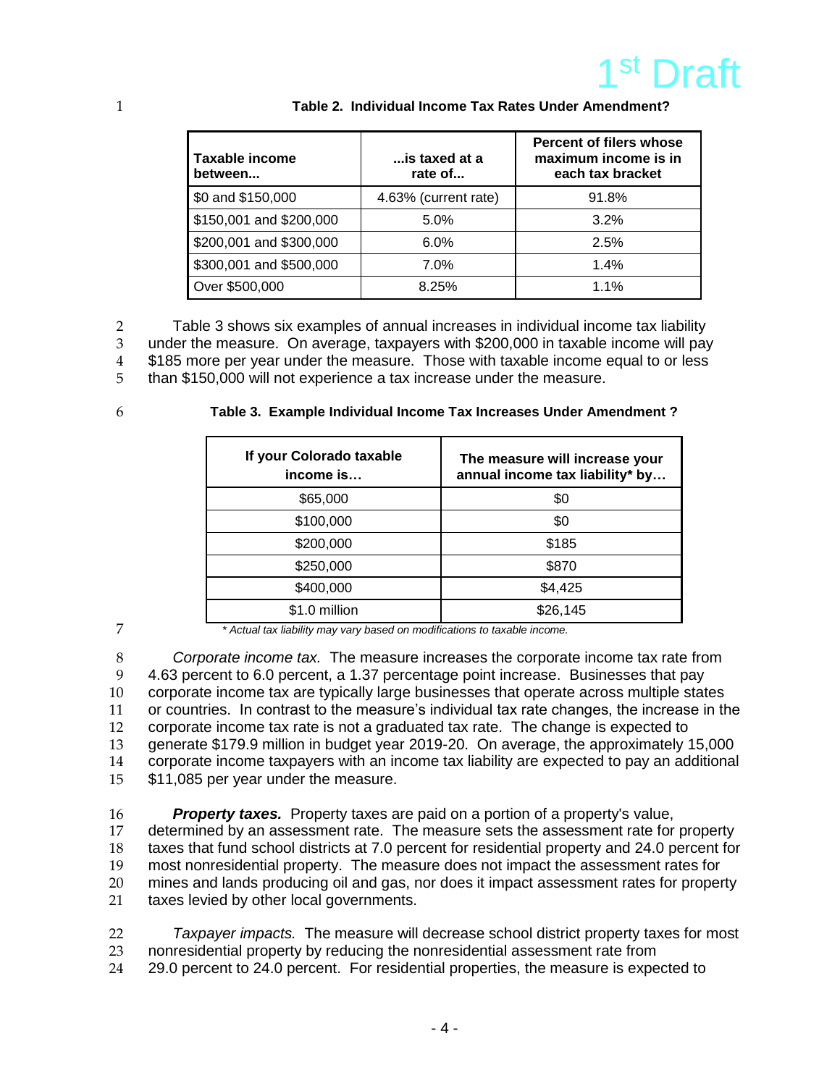

| Taxable income<br>between | is taxed at a<br>rate of | <b>Percent of filers whose</b><br>maximum income is in<br>each tax bracket |
|---------------------------|--------------------------|----------------------------------------------------------------------------|
| \$0 and \$150,000         | 4.63% (current rate)     | 91.8%                                                                      |
| \$150,001 and \$200,000   | 5.0%                     | 3.2%                                                                       |
| \$200,001 and \$300,000   | 6.0%                     | 2.5%                                                                       |
| \$300,001 and \$500,000   | $7.0\%$                  | 1.4%                                                                       |
| Over \$500,000            | 8.25%                    | $1.1\%$                                                                    |

#### 1 **Table 2. Individual Income Tax Rates Under Amendment?**

2 Table 3 shows six examples of annual increases in individual income tax liability

3 under the measure. On average, taxpayers with \$200,000 in taxable income will pay<br>4 \$185 more per vear under the measure. Those with taxable income equal to or less \$185 more per year under the measure. Those with taxable income equal to or less

5 than \$150,000 will not experience a tax increase under the measure.

#### 6 **Table 3. Example Individual Income Tax Increases Under Amendment ?**

| If your Colorado taxable<br>income is | The measure will increase your<br>annual income tax liability* by |
|---------------------------------------|-------------------------------------------------------------------|
| \$65,000                              | \$0                                                               |
| \$100,000                             | \$0                                                               |
| \$200,000                             | \$185                                                             |
| \$250,000                             | \$870                                                             |
| \$400,000                             | \$4,425                                                           |
| \$1.0 million                         | \$26.145                                                          |

7 *\* Actual tax liability may vary based on modifications to taxable income.* 

 *Corporate income tax.* The measure increases the corporate income tax rate from 4.63 percent to 6.0 percent, a 1.37 percentage point increase. Businesses that pay corporate income tax are typically large businesses that operate across multiple states or countries. In contrast to the measure's individual tax rate changes, the increase in the corporate income tax rate is not a graduated tax rate. The change is expected to generate \$179.9 million in budget year 2019-20. On average, the approximately 15,000 corporate income taxpayers with an income tax liability are expected to pay an additional \$11,085 per year under the measure.

**Property taxes.** Property taxes are paid on a portion of a property's value,<br>17 determined by an assessment rate. The measure sets the assessment rate for determined by an assessment rate. The measure sets the assessment rate for property taxes that fund school districts at 7.0 percent for residential property and 24.0 percent for most nonresidential property. The measure does not impact the assessment rates for mines and lands producing oil and gas, nor does it impact assessment rates for property 21 taxes levied by other local governments.

22 *Taxpayer impacts.* The measure will decrease school district property taxes for most 23 nonresidential property by reducing the nonresidential assessment rate from 24 29.0 percent to 24.0 percent. For residential properties, the measure is expected to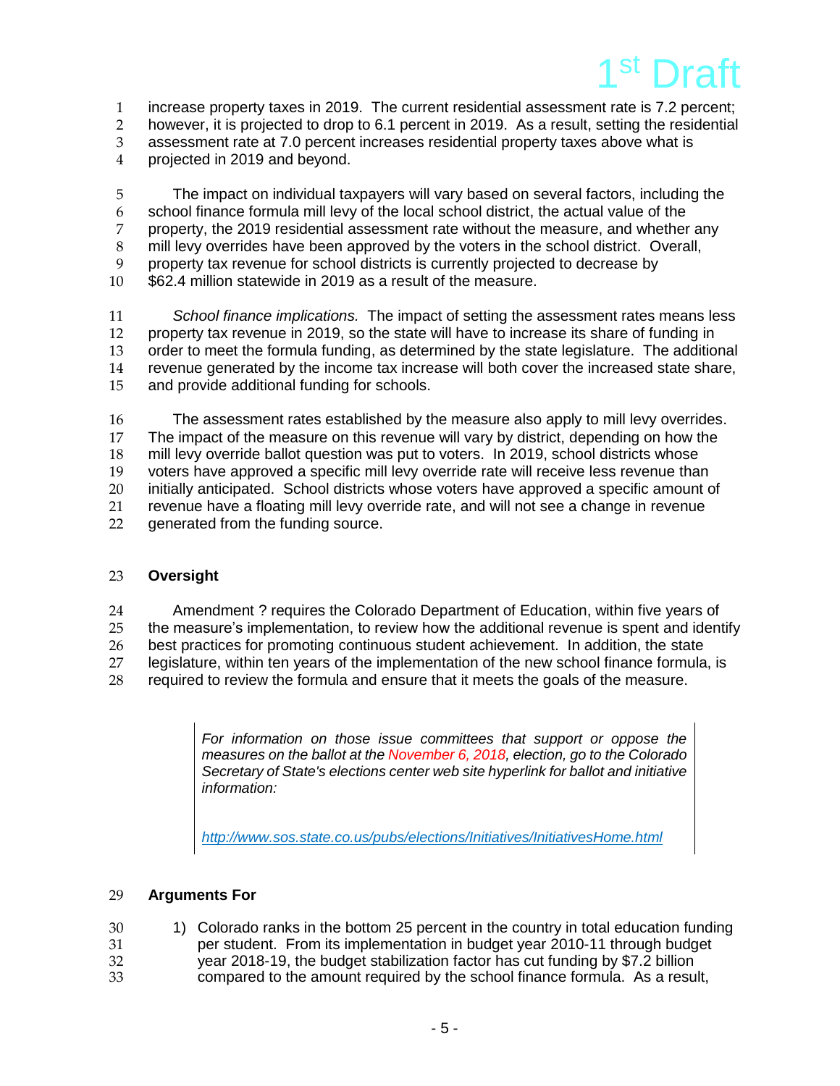

1 increase property taxes in 2019. The current residential assessment rate is 7.2 percent;

2 however, it is projected to drop to 6.1 percent in 2019. As a result, setting the residential 3 assessment rate at 7.0 percent increases residential property taxes above what is

4 projected in 2019 and beyond.

 The impact on individual taxpayers will vary based on several factors, including the school finance formula mill levy of the local school district, the actual value of the property, the 2019 residential assessment rate without the measure, and whether any 8 mill levy overrides have been approved by the voters in the school district. Overall,<br>9 oroperty tax revenue for school districts is currently projected to decrease by property tax revenue for school districts is currently projected to decrease by \$62.4 million statewide in 2019 as a result of the measure.

 *School finance implications.* The impact of setting the assessment rates means less property tax revenue in 2019, so the state will have to increase its share of funding in order to meet the formula funding, as determined by the state legislature. The additional revenue generated by the income tax increase will both cover the increased state share, and provide additional funding for schools.

16 The assessment rates established by the measure also apply to mill levy overrides.<br>17 The impact of the measure on this revenue will vary by district, depending on how the 17 The impact of the measure on this revenue will vary by district, depending on how the<br>18 mill levy override ballot question was put to voters. In 2019, school districts whose mill levy override ballot question was put to voters. In 2019, school districts whose 19 voters have approved a specific mill levy override rate will receive less revenue than 20 initially anticipated. School districts whose voters have approved a specific amount of 21 revenue have a floating mill levy override rate, and will not see a change in revenue<br>22 onenerated from the funding source. generated from the funding source.

## 23 **Oversight**

24 Amendment ? requires the Colorado Department of Education, within five years of 25 the measure's implementation, to review how the additional revenue is spent and identify 26 best practices for promoting continuous student achievement. In addition, the state 27 legislature, within ten years of the implementation of the new school finance formula, is<br>28 required to review the formula and ensure that it meets the goals of the measure. required to review the formula and ensure that it meets the goals of the measure.

> *For information on those issue committees that support or oppose the measures on the ballot at the November 6, 2018, election, go to the Colorado Secretary of State's elections center web site hyperlink for ballot and initiative information:*

*<http://www.sos.state.co.us/pubs/elections/Initiatives/InitiativesHome.html>*

## 29 **Arguments For**

- 30 1) Colorado ranks in the bottom 25 percent in the country in total education funding<br>31 ber student. From its implementation in budget year 2010-11 through budget 31 per student. From its implementation in budget year 2010-11 through budget <br>32 vear 2018-19, the budget stabilization factor has cut funding by \$7.2 billion 32 year 2018-19, the budget stabilization factor has cut funding by \$7.2 billion
- 33 compared to the amount required by the school finance formula. As a result,